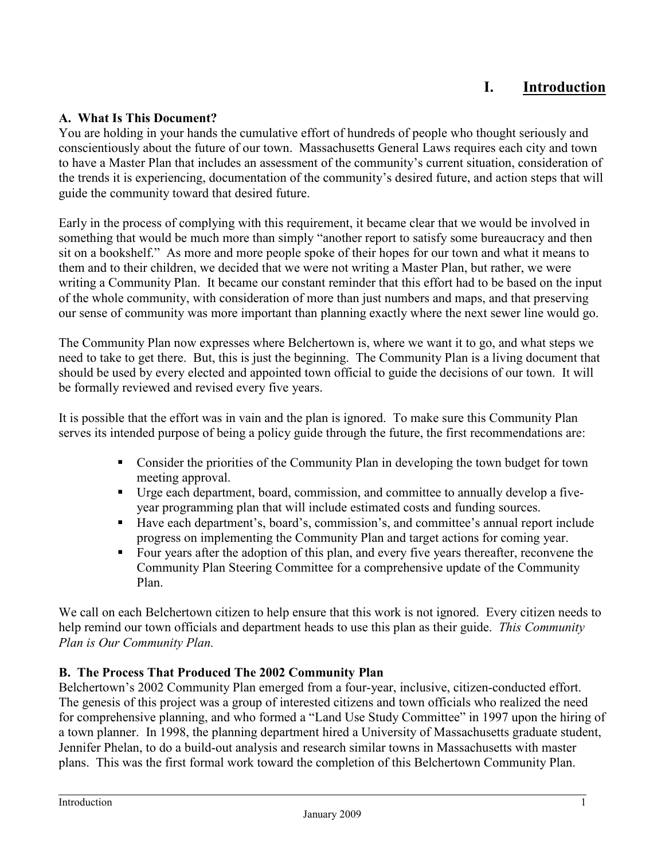# **I. Introduction**

### **A. What Is This Document?**

You are holding in your hands the cumulative effort of hundreds of people who thought seriously and conscientiously about the future of our town. Massachusetts General Laws requires each city and town to have a Master Plan that includes an assessment of the community's current situation, consideration of the trends it is experiencing, documentation of the community's desired future, and action steps that will guide the community toward that desired future.

Early in the process of complying with this requirement, it became clear that we would be involved in something that would be much more than simply "another report to satisfy some bureaucracy and then sit on a bookshelf." As more and more people spoke of their hopes for our town and what it means to them and to their children, we decided that we were not writing a Master Plan, but rather, we were writing a Community Plan. It became our constant reminder that this effort had to be based on the input of the whole community, with consideration of more than just numbers and maps, and that preserving our sense of community was more important than planning exactly where the next sewer line would go.

The Community Plan now expresses where Belchertown is, where we want it to go, and what steps we need to take to get there. But, this is just the beginning. The Community Plan is a living document that should be used by every elected and appointed town official to guide the decisions of our town. It will be formally reviewed and revised every five years.

It is possible that the effort was in vain and the plan is ignored. To make sure this Community Plan serves its intended purpose of being a policy guide through the future, the first recommendations are:

- Consider the priorities of the Community Plan in developing the town budget for town meeting approval.
- Urge each department, board, commission, and committee to annually develop a fiveyear programming plan that will include estimated costs and funding sources.
- Have each department's, board's, commission's, and committee's annual report include progress on implementing the Community Plan and target actions for coming year.
- Four years after the adoption of this plan, and every five years thereafter, reconvene the Community Plan Steering Committee for a comprehensive update of the Community Plan.

We call on each Belchertown citizen to help ensure that this work is not ignored. Every citizen needs to help remind our town officials and department heads to use this plan as their guide. *This Community Plan is Our Community Plan.*

#### **B. The Process That Produced The 2002 Community Plan**

Belchertown's 2002 Community Plan emerged from a four-year, inclusive, citizen-conducted effort. The genesis of this project was a group of interested citizens and town officials who realized the need for comprehensive planning, and who formed a "Land Use Study Committee" in 1997 upon the hiring of a town planner. In 1998, the planning department hired a University of Massachusetts graduate student, Jennifer Phelan, to do a build-out analysis and research similar towns in Massachusetts with master plans. This was the first formal work toward the completion of this Belchertown Community Plan.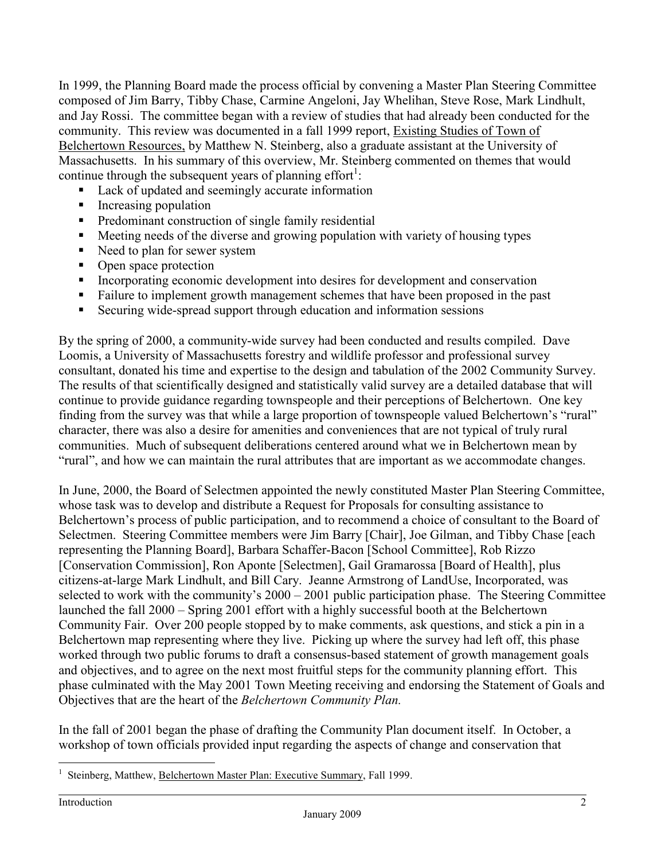In 1999, the Planning Board made the process official by convening a Master Plan Steering Committee composed of Jim Barry, Tibby Chase, Carmine Angeloni, Jay Whelihan, Steve Rose, Mark Lindhult, and Jay Rossi. The committee began with a review of studies that had already been conducted for the community. This review was documented in a fall 1999 report, Existing Studies of Town of Belchertown Resources, by Matthew N. Steinberg, also a graduate assistant at the University of Massachusetts. In his summary of this overview, Mr. Steinberg commented on themes that would continue through the subsequent years of planning effort<sup>1</sup>:

- Lack of updated and seemingly accurate information
- **Increasing population**
- **Predominant construction of single family residential**
- Meeting needs of the diverse and growing population with variety of housing types
- Need to plan for sewer system
- Open space protection
- Incorporating economic development into desires for development and conservation
- Failure to implement growth management schemes that have been proposed in the past
- Securing wide-spread support through education and information sessions

By the spring of 2000, a community-wide survey had been conducted and results compiled. Dave Loomis, a University of Massachusetts forestry and wildlife professor and professional survey consultant, donated his time and expertise to the design and tabulation of the 2002 Community Survey. The results of that scientifically designed and statistically valid survey are a detailed database that will continue to provide guidance regarding townspeople and their perceptions of Belchertown. One key finding from the survey was that while a large proportion of townspeople valued Belchertown's "rural" character, there was also a desire for amenities and conveniences that are not typical of truly rural communities. Much of subsequent deliberations centered around what we in Belchertown mean by "rural", and how we can maintain the rural attributes that are important as we accommodate changes.

In June, 2000, the Board of Selectmen appointed the newly constituted Master Plan Steering Committee, whose task was to develop and distribute a Request for Proposals for consulting assistance to Belchertown's process of public participation, and to recommend a choice of consultant to the Board of Selectmen. Steering Committee members were Jim Barry [Chair], Joe Gilman, and Tibby Chase [each representing the Planning Board], Barbara Schaffer-Bacon [School Committee], Rob Rizzo [Conservation Commission], Ron Aponte [Selectmen], Gail Gramarossa [Board of Health], plus citizens-at-large Mark Lindhult, and Bill Cary. Jeanne Armstrong of LandUse, Incorporated, was selected to work with the community's 2000 – 2001 public participation phase. The Steering Committee launched the fall 2000 – Spring 2001 effort with a highly successful booth at the Belchertown Community Fair. Over 200 people stopped by to make comments, ask questions, and stick a pin in a Belchertown map representing where they live. Picking up where the survey had left off, this phase worked through two public forums to draft a consensus-based statement of growth management goals and objectives, and to agree on the next most fruitful steps for the community planning effort. This phase culminated with the May 2001 Town Meeting receiving and endorsing the Statement of Goals and Objectives that are the heart of the *Belchertown Community Plan.*

In the fall of 2001 began the phase of drafting the Community Plan document itself. In October, a workshop of town officials provided input regarding the aspects of change and conservation that

 $\overline{a}$ 1 Steinberg, Matthew, Belchertown Master Plan: Executive Summary, Fall 1999.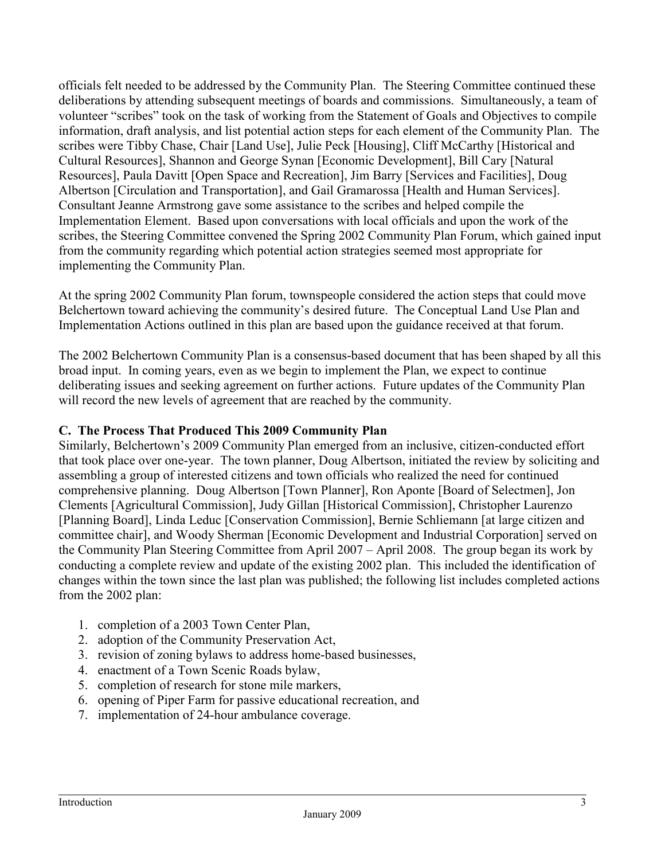officials felt needed to be addressed by the Community Plan. The Steering Committee continued these deliberations by attending subsequent meetings of boards and commissions. Simultaneously, a team of volunteer "scribes" took on the task of working from the Statement of Goals and Objectives to compile information, draft analysis, and list potential action steps for each element of the Community Plan. The scribes were Tibby Chase, Chair [Land Use], Julie Peck [Housing], Cliff McCarthy [Historical and Cultural Resources], Shannon and George Synan [Economic Development], Bill Cary [Natural Resources], Paula Davitt [Open Space and Recreation], Jim Barry [Services and Facilities], Doug Albertson [Circulation and Transportation], and Gail Gramarossa [Health and Human Services]. Consultant Jeanne Armstrong gave some assistance to the scribes and helped compile the Implementation Element. Based upon conversations with local officials and upon the work of the scribes, the Steering Committee convened the Spring 2002 Community Plan Forum, which gained input from the community regarding which potential action strategies seemed most appropriate for implementing the Community Plan.

At the spring 2002 Community Plan forum, townspeople considered the action steps that could move Belchertown toward achieving the community's desired future. The Conceptual Land Use Plan and Implementation Actions outlined in this plan are based upon the guidance received at that forum.

The 2002 Belchertown Community Plan is a consensus-based document that has been shaped by all this broad input. In coming years, even as we begin to implement the Plan, we expect to continue deliberating issues and seeking agreement on further actions. Future updates of the Community Plan will record the new levels of agreement that are reached by the community.

## **C. The Process That Produced This 2009 Community Plan**

Similarly, Belchertown's 2009 Community Plan emerged from an inclusive, citizen-conducted effort that took place over one-year. The town planner, Doug Albertson, initiated the review by soliciting and assembling a group of interested citizens and town officials who realized the need for continued comprehensive planning. Doug Albertson [Town Planner], Ron Aponte [Board of Selectmen], Jon Clements [Agricultural Commission], Judy Gillan [Historical Commission], Christopher Laurenzo [Planning Board], Linda Leduc [Conservation Commission], Bernie Schliemann [at large citizen and committee chair], and Woody Sherman [Economic Development and Industrial Corporation] served on the Community Plan Steering Committee from April 2007 – April 2008. The group began its work by conducting a complete review and update of the existing 2002 plan. This included the identification of changes within the town since the last plan was published; the following list includes completed actions from the 2002 plan:

- 1. completion of a 2003 Town Center Plan,
- 2. adoption of the Community Preservation Act,
- 3. revision of zoning bylaws to address home-based businesses,
- 4. enactment of a Town Scenic Roads bylaw,
- 5. completion of research for stone mile markers,
- 6. opening of Piper Farm for passive educational recreation, and
- 7. implementation of 24-hour ambulance coverage.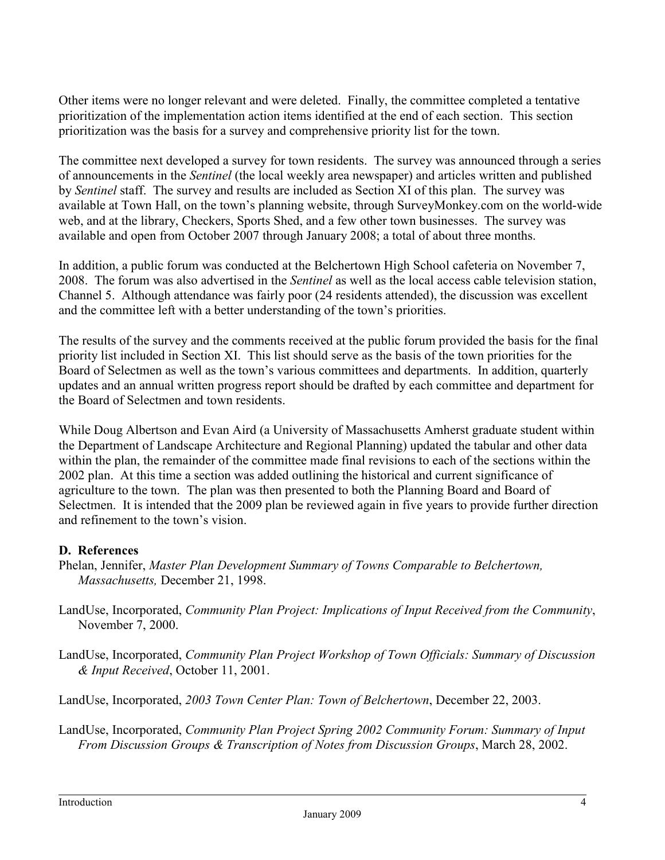Other items were no longer relevant and were deleted. Finally, the committee completed a tentative prioritization of the implementation action items identified at the end of each section. This section prioritization was the basis for a survey and comprehensive priority list for the town.

The committee next developed a survey for town residents. The survey was announced through a series of announcements in the *Sentinel* (the local weekly area newspaper) and articles written and published by *Sentinel* staff. The survey and results are included as Section XI of this plan. The survey was available at Town Hall, on the town's planning website, through SurveyMonkey.com on the world-wide web, and at the library, Checkers, Sports Shed, and a few other town businesses. The survey was available and open from October 2007 through January 2008; a total of about three months.

In addition, a public forum was conducted at the Belchertown High School cafeteria on November 7, 2008. The forum was also advertised in the *Sentinel* as well as the local access cable television station, Channel 5. Although attendance was fairly poor (24 residents attended), the discussion was excellent and the committee left with a better understanding of the town's priorities.

The results of the survey and the comments received at the public forum provided the basis for the final priority list included in Section XI. This list should serve as the basis of the town priorities for the Board of Selectmen as well as the town's various committees and departments. In addition, quarterly updates and an annual written progress report should be drafted by each committee and department for the Board of Selectmen and town residents.

While Doug Albertson and Evan Aird (a University of Massachusetts Amherst graduate student within the Department of Landscape Architecture and Regional Planning) updated the tabular and other data within the plan, the remainder of the committee made final revisions to each of the sections within the 2002 plan. At this time a section was added outlining the historical and current significance of agriculture to the town. The plan was then presented to both the Planning Board and Board of Selectmen. It is intended that the 2009 plan be reviewed again in five years to provide further direction and refinement to the town's vision.

## **D. References**

Phelan, Jennifer, *Master Plan Development Summary of Towns Comparable to Belchertown, Massachusetts,* December 21, 1998.

- LandUse, Incorporated, *Community Plan Project: Implications of Input Received from the Community*, November 7, 2000.
- LandUse, Incorporated, *Community Plan Project Workshop of Town Officials: Summary of Discussion & Input Received*, October 11, 2001.

LandUse, Incorporated, *2003 Town Center Plan: Town of Belchertown*, December 22, 2003.

LandUse, Incorporated, *Community Plan Project Spring 2002 Community Forum: Summary of Input From Discussion Groups & Transcription of Notes from Discussion Groups*, March 28, 2002.